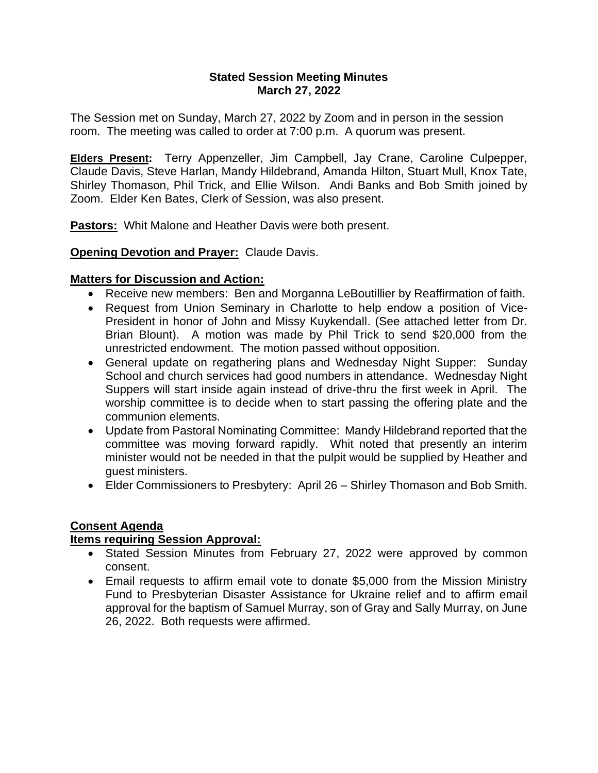#### **Stated Session Meeting Minutes March 27, 2022**

The Session met on Sunday, March 27, 2022 by Zoom and in person in the session room. The meeting was called to order at 7:00 p.m. A quorum was present.

**Elders Present:** Terry Appenzeller, Jim Campbell, Jay Crane, Caroline Culpepper, Claude Davis, Steve Harlan, Mandy Hildebrand, Amanda Hilton, Stuart Mull, Knox Tate, Shirley Thomason, Phil Trick, and Ellie Wilson. Andi Banks and Bob Smith joined by Zoom. Elder Ken Bates, Clerk of Session, was also present.

**Pastors:** Whit Malone and Heather Davis were both present.

## **Opening Devotion and Prayer:** Claude Davis.

### **Matters for Discussion and Action:**

- Receive new members: Ben and Morganna LeBoutillier by Reaffirmation of faith.
- Request from Union Seminary in Charlotte to help endow a position of Vice-President in honor of John and Missy Kuykendall. (See attached letter from Dr. Brian Blount). A motion was made by Phil Trick to send \$20,000 from the unrestricted endowment. The motion passed without opposition.
- General update on regathering plans and Wednesday Night Supper: Sunday School and church services had good numbers in attendance. Wednesday Night Suppers will start inside again instead of drive-thru the first week in April. The worship committee is to decide when to start passing the offering plate and the communion elements.
- Update from Pastoral Nominating Committee: Mandy Hildebrand reported that the committee was moving forward rapidly. Whit noted that presently an interim minister would not be needed in that the pulpit would be supplied by Heather and guest ministers.
- Elder Commissioners to Presbytery: April 26 Shirley Thomason and Bob Smith.

# **Consent Agenda**

### **Items requiring Session Approval:**

- Stated Session Minutes from February 27, 2022 were approved by common consent.
- Email requests to affirm email vote to donate \$5,000 from the Mission Ministry Fund to Presbyterian Disaster Assistance for Ukraine relief and to affirm email approval for the baptism of Samuel Murray, son of Gray and Sally Murray, on June 26, 2022. Both requests were affirmed.